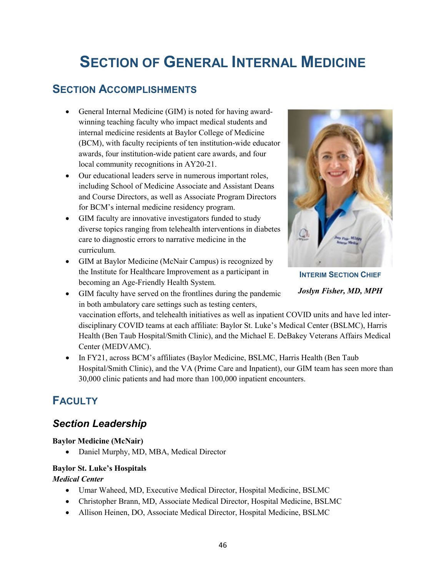# **SECTION OF GENERAL INTERNAL MEDICINE**

### **SECTION ACCOMPLISHMENTS**

- General Internal Medicine (GIM) is noted for having awardwinning teaching faculty who impact medical students and internal medicine residents at Baylor College of Medicine (BCM), with faculty recipients of ten institution-wide educator awards, four institution-wide patient care awards, and four local community recognitions in AY20-21.
- Our educational leaders serve in numerous important roles, including School of Medicine Associate and Assistant Deans and Course Directors, as well as Associate Program Directors for BCM's internal medicine residency program.
- GIM faculty are innovative investigators funded to study diverse topics ranging from telehealth interventions in diabetes care to diagnostic errors to narrative medicine in the curriculum.
- GIM at Baylor Medicine (McNair Campus) is recognized by the Institute for Healthcare Improvement as a participant in becoming an [Age-Friendly Health System.](http://www.ihi.org/Engage/Initiatives/Age-Friendly-Health-Systems/Pages/default.aspx)



**INTERIM SECTION CHIEF** *Joslyn Fisher, MD, MPH*

- GIM faculty have served on the frontlines during the pandemic in both ambulatory care settings such as testing centers, vaccination efforts, and telehealth initiatives as well as inpatient COVID units and have led interdisciplinary COVID teams at each affiliate: Baylor St. Luke's Medical Center (BSLMC), Harris Health (Ben Taub Hospital/Smith Clinic), and the Michael E. DeBakey Veterans Affairs Medical Center (MEDVAMC).
- In FY21, across BCM's affiliates (Baylor Medicine, BSLMC, Harris Health (Ben Taub Hospital/Smith Clinic), and the VA (Prime Care and Inpatient), our GIM team has seen more than 30,000 clinic patients and had more than 100,000 inpatient encounters.

## **FACULTY**

### *Section Leadership*

#### **Baylor Medicine (McNair)**

• Daniel Murphy, MD, MBA, Medical Director

### **Baylor St. Luke's Hospitals**

#### *Medical Center*

- Umar Waheed, MD, Executive Medical Director, Hospital Medicine, BSLMC
- Christopher Brann, MD, Associate Medical Director, Hospital Medicine, BSLMC
- Allison Heinen, DO, Associate Medical Director, Hospital Medicine, BSLMC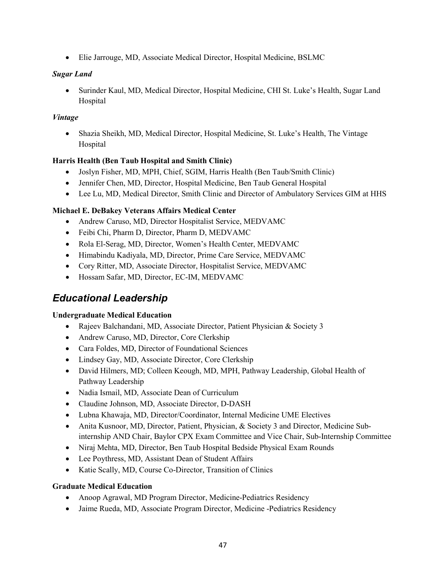• Elie Jarrouge, MD, Associate Medical Director, Hospital Medicine, BSLMC

#### *Sugar Land*

• Surinder Kaul, MD, Medical Director, Hospital Medicine, CHI St. Luke's Health, Sugar Land **Hospital** 

#### *Vintage*

• Shazia Sheikh, MD, Medical Director, Hospital Medicine, St. Luke's Health, The Vintage Hospital

#### **Harris Health (Ben Taub Hospital and Smith Clinic)**

- Joslyn Fisher, MD, MPH, Chief, SGIM, Harris Health (Ben Taub/Smith Clinic)
- Jennifer Chen, MD, Director, Hospital Medicine, Ben Taub General Hospital
- Lee Lu, MD, Medical Director, Smith Clinic and Director of Ambulatory Services GIM at HHS

#### **Michael E. DeBakey Veterans Affairs Medical Center**

- Andrew Caruso, MD, Director Hospitalist Service, MEDVAMC
- Feibi Chi, Pharm D, Director, Pharm D, MEDVAMC
- Rola El-Serag, MD, Director, Women's Health Center, MEDVAMC
- Himabindu Kadiyala, MD, Director, Prime Care Service, MEDVAMC
- Cory Ritter, MD, Associate Director, Hospitalist Service, MEDVAMC
- Hossam Safar, MD, Director, EC-IM, MEDVAMC

### *Educational Leadership*

#### **Undergraduate Medical Education**

- Rajeev Balchandani, MD, Associate Director, Patient Physician & Society 3
- Andrew Caruso, MD, Director, Core Clerkship
- Cara Foldes, MD, Director of Foundational Sciences
- Lindsey Gay, MD, Associate Director, Core Clerkship
- David Hilmers, MD; Colleen Keough, MD, MPH, Pathway Leadership, Global Health of Pathway Leadership
- Nadia Ismail, MD, Associate Dean of Curriculum
- Claudine Johnson, MD, Associate Director, D-DASH
- Lubna Khawaja, MD, Director/Coordinator, Internal Medicine UME Electives
- Anita Kusnoor, MD, Director, Patient, Physician, & Society 3 and Director, Medicine Subinternship AND Chair, Baylor CPX Exam Committee and Vice Chair, Sub-Internship Committee
- Niraj Mehta, MD, Director, Ben Taub Hospital Bedside Physical Exam Rounds
- Lee Poythress, MD, Assistant Dean of Student Affairs
- Katie Scally, MD, Course Co-Director, Transition of Clinics

#### **Graduate Medical Education**

- Anoop Agrawal, MD Program Director, Medicine-Pediatrics Residency
- Jaime Rueda, MD, Associate Program Director, Medicine -Pediatrics Residency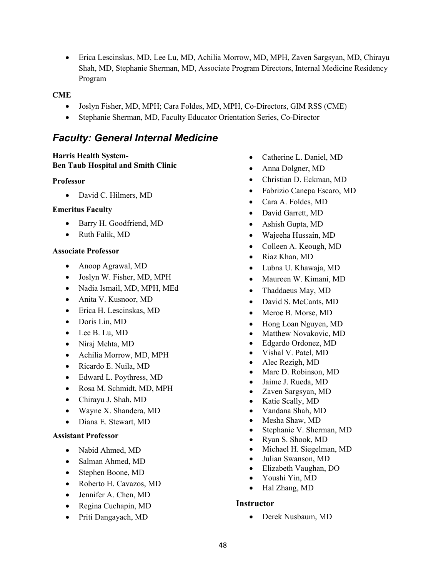• Erica Lescinskas, MD, Lee Lu, MD, Achilia Morrow, MD, MPH, Zaven Sargsyan, MD, Chirayu Shah, MD, Stephanie Sherman, MD, Associate Program Directors, Internal Medicine Residency Program

#### **CME**

- Joslyn Fisher, MD, MPH; Cara Foldes, MD, MPH, Co-Directors, GIM RSS (CME)
- Stephanie Sherman, MD, Faculty Educator Orientation Series, Co-Director

### *Faculty: General Internal Medicine*

#### **Harris Health System-Ben Taub Hospital and Smith Clinic**

#### **Professor**

• David C. Hilmers, MD

#### **Emeritus Faculty**

- Barry H. Goodfriend, MD
- Ruth Falik, MD

#### **Associate Professor**

- Anoop Agrawal, MD
- Joslyn W. Fisher, MD, MPH
- Nadia Ismail, MD, MPH, MEd
- Anita V. Kusnoor, MD
- Erica H. Lescinskas, MD
- Doris Lin, MD
- Lee B. Lu, MD
- Niraj Mehta, MD
- Achilia Morrow, MD, MPH
- Ricardo E. Nuila, MD
- Edward L. Poythress, MD
- Rosa M. Schmidt, MD, MPH
- Chirayu J. Shah, MD
- Wayne X. Shandera, MD
- Diana E. Stewart, MD

#### **Assistant Professor**

- Nabid Ahmed, MD
- Salman Ahmed, MD
- Stephen Boone, MD
- Roberto H. Cavazos, MD
- Jennifer A. Chen, MD
- Regina Cuchapin, MD
- Priti Dangayach, MD
- Catherine L. Daniel, MD
- Anna Dolgner, MD
- Christian D. Eckman, MD
- Fabrizio Canepa Escaro, MD
- Cara A. Foldes, MD
- David Garrett, MD
- Ashish Gupta, MD
- Wajeeha Hussain, MD
- Colleen A. Keough, MD
- Riaz Khan, MD
- Lubna U. Khawaja, MD
- Maureen W. Kimani, MD
- Thaddaeus May, MD
- David S. McCants, MD
- Meroe B. Morse, MD
- Hong Loan Nguyen, MD
- Matthew Novakovic, MD
- Edgardo Ordonez, MD
- Vishal V. Patel, MD
- Alec Rezigh, MD
- Marc D. Robinson, MD
- Jaime J. Rueda, MD
- Zaven Sargsyan, MD
- Katie Scally, MD
- Vandana Shah, MD
- Mesha Shaw, MD
	- Stephanie V. Sherman, MD
- Ryan S. Shook, MD
- Michael H. Siegelman, MD
- Julian Swanson, MD
- Elizabeth Vaughan, DO
- Youshi Yin, MD
- Hal Zhang, MD

#### **Instructor**

• Derek Nusbaum, MD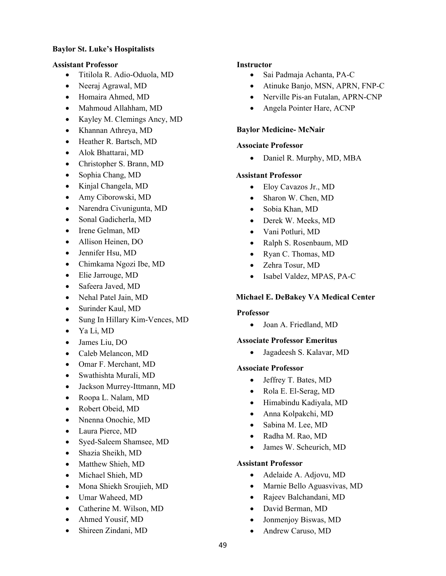#### **Baylor St. Luke's Hospitalists**

#### **Assistant Professor**

- Titilola R. Adio-Oduola, MD
- Neeraj Agrawal, MD
- Homaira Ahmed, MD
- Mahmoud Allahham, MD
- Kayley M. Clemings Ancy, MD
- Khannan Athreya, MD
- Heather R. Bartsch, MD
- Alok Bhattarai, MD
- Christopher S. Brann, MD
- Sophia Chang, MD
- Kinjal Changela, MD
- Amy Ciborowski, MD
- Narendra Civunigunta, MD
- Sonal Gadicherla, MD
- Irene Gelman, MD
- Allison Heinen, DO
- Jennifer Hsu, MD
- Chimkama Ngozi Ibe, MD
- Elie Jarrouge, MD
- Safeera Javed, MD
- Nehal Patel Jain, MD
- Surinder Kaul, MD
- Sung In Hillary Kim-Vences, MD
- Ya Li, MD
- James Liu, DO
- Caleb Melancon, MD
- Omar F. Merchant, MD
- Swathishta Murali, MD
- Jackson Murrey-Ittmann, MD
- Roopa L. Nalam, MD
- Robert Obeid, MD
- Nnenna Onochie, MD
- Laura Pierce, MD
- Syed-Saleem Shamsee, MD
- Shazia Sheikh, MD
- Matthew Shieh, MD
- Michael Shieh, MD
- Mona Shiekh Sroujieh, MD
- Umar Waheed, MD
- Catherine M. Wilson, MD
- Ahmed Yousif, MD
- Shireen Zindani, MD

#### **Instructor**

- Sai Padmaja Achanta, PA-C
- Atinuke Banjo, MSN, APRN, FNP-C
- Nerville Pis-an Futalan, APRN-CNP
- Angela Pointer Hare, ACNP

#### **Baylor Medicine- McNair**

#### **Associate Professor**

• Daniel R. Murphy, MD, MBA

#### **Assistant Professor**

- Eloy Cavazos Jr., MD
- Sharon W. Chen, MD
- Sobia Khan, MD
- Derek W. Meeks, MD
- Vani Potluri, MD
- Ralph S. Rosenbaum, MD
- Ryan C. Thomas, MD
- Zehra Tosur, MD
- Isabel Valdez, MPAS, PA-C

#### **Michael E. DeBakey VA Medical Center**

#### **Professor**

• Joan A. Friedland, MD

#### **Associate Professor Emeritus**

• Jagadeesh S. Kalavar, MD

#### **Associate Professor**

- Jeffrey T. Bates, MD
- Rola E. El-Serag, MD
- Himabindu Kadiyala, MD
- Anna Kolpakchi, MD
- Sabina M. Lee, MD
- Radha M. Rao, MD
- James W. Scheurich, MD

#### **Assistant Professor**

- Adelaide A. Adjovu, MD
- Marnie Bello Aguasvivas, MD
- Rajeev Balchandani, MD
- David Berman, MD
- Jonmenjoy Biswas, MD
- Andrew Caruso, MD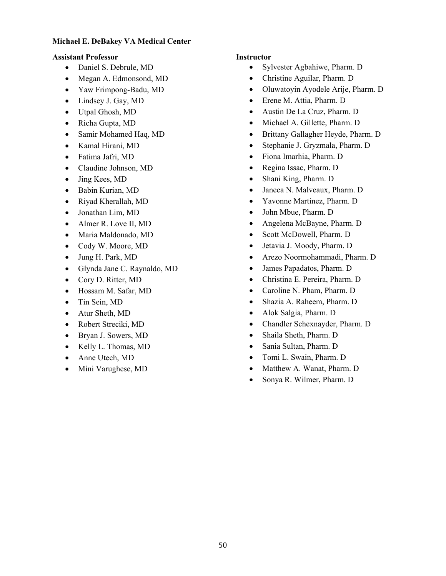#### **Michael E. DeBakey VA Medical Center**

#### **Assistant Professor Instructor**

- Daniel S. Debrule, MD
- Megan A. Edmonsond, MD
- Yaw Frimpong-Badu, MD
- Lindsey J. Gay, MD
- Utpal Ghosh, MD
- Richa Gupta, MD
- Samir Mohamed Haq, MD
- Kamal Hirani, MD
- Fatima Jafri, MD
- Claudine Johnson, MD
- Jing Kees, MD
- Babin Kurian, MD
- Riyad Kherallah, MD
- Jonathan Lim, MD
- Almer R. Love II, MD
- Maria Maldonado, MD
- Cody W. Moore, MD
- Jung H. Park, MD
- Glynda Jane C. Raynaldo, MD
- Cory D. Ritter, MD
- Hossam M. Safar, MD
- Tin Sein, MD
- Atur Sheth, MD
- Robert Streciki, MD
- Bryan J. Sowers, MD
- Kelly L. Thomas, MD
- Anne Utech, MD
- Mini Varughese, MD

- Sylvester Agbahiwe, Pharm. D
- Christine Aguilar, Pharm. D
- Oluwatoyin Ayodele Arije, Pharm. D
- Erene M. Attia, Pharm. D
- Austin De La Cruz, Pharm. D
- Michael A. Gillette, Pharm. D
- Brittany Gallagher Heyde, Pharm. D
- Stephanie J. Gryzmala, Pharm. D
- Fiona Imarhia, Pharm. D
- Regina Issac, Pharm. D
- Shani King, Pharm. D
- Janeca N. Malveaux, Pharm. D
- Yavonne Martinez, Pharm. D
- John Mbue, Pharm. D
- Angelena McBayne, Pharm. D
- Scott McDowell, Pharm. D
- Jetavia J. Moody, Pharm. D
- Arezo Noormohammadi, Pharm. D
- James Papadatos, Pharm. D
- Christina E. Pereira, Pharm. D
- Caroline N. Pham, Pharm. D
- Shazia A. Raheem, Pharm. D
- Alok Salgia, Pharm. D
- Chandler Schexnayder, Pharm. D
- Shaila Sheth, Pharm. D
- Sania Sultan, Pharm. D
- Tomi L. Swain, Pharm. D
- Matthew A. Wanat, Pharm. D
- Sonya R. Wilmer, Pharm. D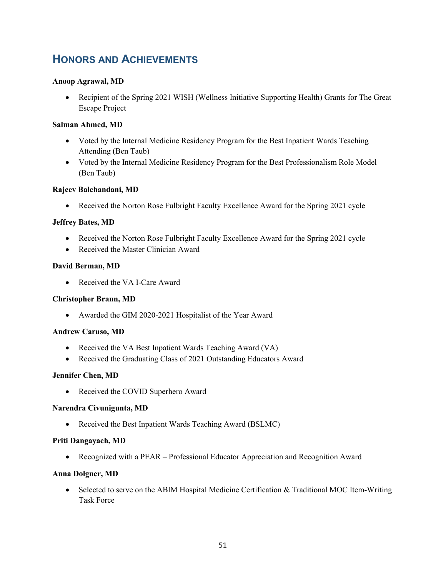## **HONORS AND ACHIEVEMENTS**

#### **Anoop Agrawal, MD**

• Recipient of the Spring 2021 WISH (Wellness Initiative Supporting Health) Grants for The Great Escape Project

#### **Salman Ahmed, MD**

- Voted by the Internal Medicine Residency Program for the Best Inpatient Wards Teaching Attending (Ben Taub)
- Voted by the Internal Medicine Residency Program for the Best Professionalism Role Model (Ben Taub)

#### **Rajeev Balchandani, MD**

• Received the Norton Rose Fulbright Faculty Excellence Award for the Spring 2021 cycle

#### **Jeffrey Bates, MD**

- Received the Norton Rose Fulbright Faculty Excellence Award for the Spring 2021 cycle
- Received the Master Clinician Award

#### **David Berman, MD**

• Received the VA I-Care Award

#### **Christopher Brann, MD**

• Awarded the GIM 2020-2021 Hospitalist of the Year Award

#### **Andrew Caruso, MD**

- Received the VA Best Inpatient Wards Teaching Award (VA)
- Received the Graduating Class of 2021 Outstanding Educators Award

#### **Jennifer Chen, MD**

• Received the COVID Superhero Award

#### **Narendra Civunigunta, MD**

• Received the Best Inpatient Wards Teaching Award (BSLMC)

#### **Priti Dangayach, MD**

• Recognized with a PEAR – Professional Educator Appreciation and Recognition Award

#### **Anna Dolgner, MD**

• Selected to serve on the ABIM Hospital Medicine Certification & Traditional MOC Item-Writing Task Force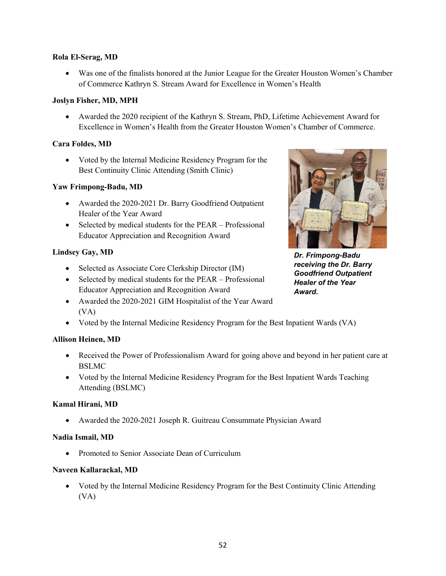#### **Rola El-Serag, MD**

• Was one of the finalists honored at the Junior League for the Greater Houston Women's Chamber of Commerce Kathryn S. Stream Award for Excellence in Women's Health

#### **Joslyn Fisher, MD, MPH**

• Awarded the 2020 recipient of the Kathryn S. Stream, PhD, Lifetime Achievement Award for Excellence in Women's Health from the Greater Houston Women's Chamber of Commerce.

#### **Cara Foldes, MD**

• Voted by the Internal Medicine Residency Program for the Best Continuity Clinic Attending (Smith Clinic)

#### **Yaw Frimpong-Badu, MD**

- Awarded the 2020-2021 Dr. Barry Goodfriend Outpatient Healer of the Year Award
- Selected by medical students for the PEAR Professional Educator Appreciation and Recognition Award

#### **Lindsey Gay, MD**

- Selected as Associate Core Clerkship Director (IM)
- Selected by medical students for the PEAR Professional Educator Appreciation and Recognition Award
- Awarded the 2020-2021 GIM Hospitalist of the Year Award (VA)
- Voted by the Internal Medicine Residency Program for the Best Inpatient Wards (VA)

#### **Allison Heinen, MD**

- Received the Power of Professionalism Award for going above and beyond in her patient care at BSLMC
- Voted by the Internal Medicine Residency Program for the Best Inpatient Wards Teaching Attending (BSLMC)

#### **Kamal Hirani, MD**

• Awarded the 2020-2021 Joseph R. Guitreau Consummate Physician Award

#### **Nadia Ismail, MD**

• Promoted to Senior Associate Dean of Curriculum

#### **Naveen Kallarackal, MD**

• Voted by the Internal Medicine Residency Program for the Best Continuity Clinic Attending (VA)



*Dr. Frimpong-Badu receiving the Dr. Barry Goodfriend Outpatient Healer of the Year Award.*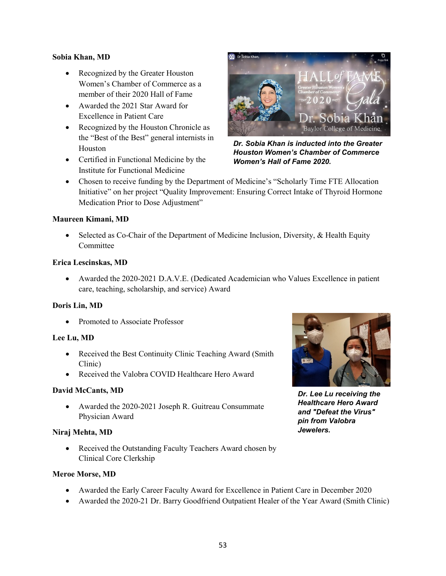#### **Sobia Khan, MD**

- Recognized by the Greater Houston Women's Chamber of Commerce as a member of their 2020 Hall of Fame
- Awarded the 2021 Star Award for Excellence in Patient Care
- Recognized by the Houston Chronicle as the "Best of the Best" general internists in Houston
- Certified in Functional Medicine by the Institute for Functional Medicine



*Dr. Sobia Khan is inducted into the Greater Houston Women's Chamber of Commerce Women's Hall of Fame 2020.*

• Chosen to receive funding by the Department of Medicine's "Scholarly Time FTE Allocation Initiative" on her project "Quality Improvement: Ensuring Correct Intake of Thyroid Hormone Medication Prior to Dose Adjustment"

#### **Maureen Kimani, MD**

• Selected as Co-Chair of the Department of Medicine Inclusion, Diversity, & Health Equity **Committee** 

#### **Erica Lescinskas, MD**

• Awarded the 2020-2021 D.A.V.E. (Dedicated Academician who Values Excellence in patient care, teaching, scholarship, and service) Award

#### **Doris Lin, MD**

• Promoted to Associate Professor

#### **Lee Lu, MD**

- Received the Best Continuity Clinic Teaching Award (Smith Clinic)
- Received the Valobra COVID Healthcare Hero Award

#### **David McCants, MD**

• Awarded the 2020-2021 Joseph R. Guitreau Consummate Physician Award

#### **Niraj Mehta, MD**

• Received the Outstanding Faculty Teachers Award chosen by Clinical Core Clerkship

#### **Meroe Morse, MD**

- Awarded the Early Career Faculty Award for Excellence in Patient Care in December 2020
- Awarded the 2020-21 Dr. Barry Goodfriend Outpatient Healer of the Year Award (Smith Clinic)



*Dr. Lee Lu receiving the Healthcare Hero Award and "Defeat the Virus" pin from Valobra Jewelers.*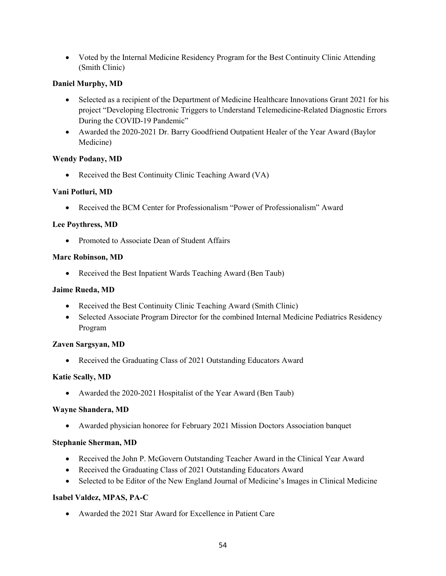• Voted by the Internal Medicine Residency Program for the Best Continuity Clinic Attending (Smith Clinic)

#### **Daniel Murphy, MD**

- Selected as a recipient of the Department of Medicine Healthcare Innovations Grant 2021 for his project "Developing Electronic Triggers to Understand Telemedicine-Related Diagnostic Errors During the COVID-19 Pandemic"
- Awarded the 2020-2021 Dr. Barry Goodfriend Outpatient Healer of the Year Award (Baylor Medicine)

#### **Wendy Podany, MD**

• Received the Best Continuity Clinic Teaching Award (VA)

#### **Vani Potluri, MD**

• Received the BCM Center for Professionalism "Power of Professionalism" Award

#### **Lee Poythress, MD**

• Promoted to Associate Dean of Student Affairs

#### **Marc Robinson, MD**

• Received the Best Inpatient Wards Teaching Award (Ben Taub)

#### **Jaime Rueda, MD**

- Received the Best Continuity Clinic Teaching Award (Smith Clinic)
- Selected Associate Program Director for the combined Internal Medicine Pediatrics Residency Program

#### **Zaven Sargsyan, MD**

• Received the Graduating Class of 2021 Outstanding Educators Award

#### **Katie Scally, MD**

• Awarded the 2020-2021 Hospitalist of the Year Award (Ben Taub)

#### **Wayne Shandera, MD**

• Awarded physician honoree for February 2021 Mission Doctors Association banquet

#### **Stephanie Sherman, MD**

- Received the John P. McGovern Outstanding Teacher Award in the Clinical Year Award
- Received the Graduating Class of 2021 Outstanding Educators Award
- Selected to be Editor of the New England Journal of Medicine's Images in Clinical Medicine

#### **Isabel Valdez, MPAS, PA-C**

• Awarded the 2021 Star Award for Excellence in Patient Care